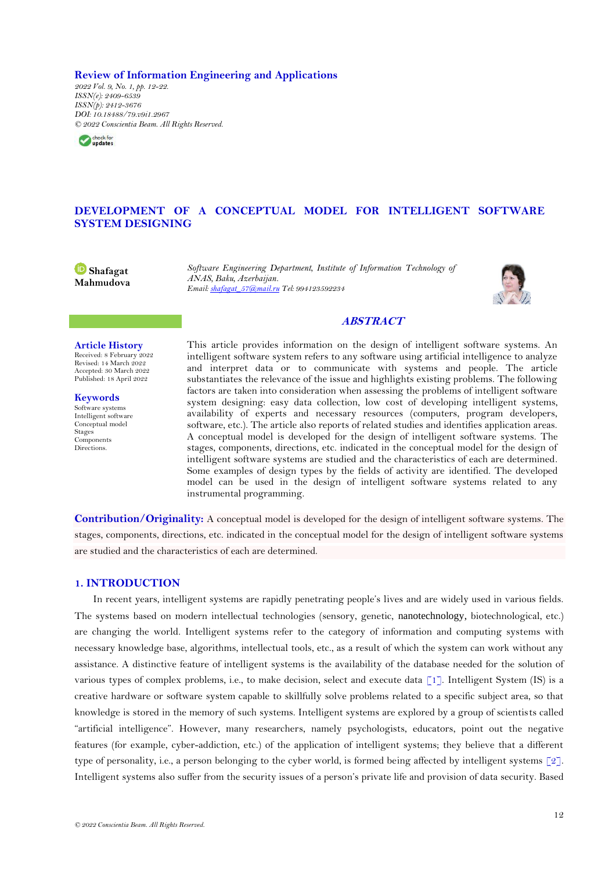**Review of Information Engineering and Applications**

*2022 Vol. 9, No. 1, pp. 12-22. ISSN(e): 2409-6539 ISSN(p): 2412-3676 DOI: 10.18488/79.v9i1.2967 © 2022 Conscientia Beam. All Rights Reserved.*



# **DEVELOPMENT OF A CONCEPTUAL MODEL FOR INTELLIGENT SOFTWARE SYSTEM DESIGNING**

**Shafagat Mahmudova** *Software Engineering Department, Institute of Information Technology of ANAS, Baku, Azerbaijan. Email[: shafagat\\_57@mail.ru](mailto:shafagat_57@mail.ru) Tel: 994123592234*



## **ABSTRACT**

#### **Article History**

Received: 8 February 2022 Revised: 14 March 2022 Accepted: 30 March 2022 Published: 18 April 2022

**Keywords** Software systems Intelligent software Conceptual model Stages Components Directions.

This article provides information on the design of intelligent software systems. An intelligent software system refers to any software using artificial intelligence to analyze and interpret data or to communicate with systems and people. The article substantiates the relevance of the issue and highlights existing problems. The following factors are taken into consideration when assessing the problems of intelligent software system designing: easy data collection, low cost of developing intelligent systems, availability of experts and necessary resources (computers, program developers, software, etc.). The article also reports of related studies and identifies application areas. A conceptual model is developed for the design of intelligent software systems. The stages, components, directions, etc. indicated in the conceptual model for the design of intelligent software systems are studied and the characteristics of each are determined. Some examples of design types by the fields of activity are identified. The developed model can be used in the design of intelligent software systems related to any instrumental programming.

**Contribution/Originality:** A conceptual model is developed for the design of intelligent software systems. The stages, components, directions, etc. indicated in the conceptual model for the design of intelligent software systems are studied and the characteristics of each are determined.

## **1. INTRODUCTION**

In recent years, intelligent systems are rapidly penetrating people's lives and are widely used in various fields. The systems based on modern intellectual technologies (sensory, genetic, nanotechnology, biotechnological, etc.) are changing the world. Intelligent systems refer to the category of information and computing systems with necessary knowledge base, algorithms, intellectual tools, etc., as a result of which the system can work without any assistance. A distinctive feature of intelligent systems is the availability of the database needed for the solution of various types of complex problems, i.e., to make decision, select and execute data [\[1\]](#page-10-0). Intelligent System (IS) is a creative hardware or software system capable to skillfully solve problems related to a specific subject area, so that knowledge is stored in the memory of such systems. Intelligent systems are explored by a group of scientists called "artificial intelligence". However, many researchers, namely psychologists, educators, point out the negative features (for example, cyber-addiction, etc.) of the application of intelligent systems; they believe that a different type of personality, i.e., a person belonging to the cyber world, is formed being affected by intelligent systems [\[2\]](#page-10-1). Intelligent systems also suffer from the security issues of a person's private life and provision of data security. Based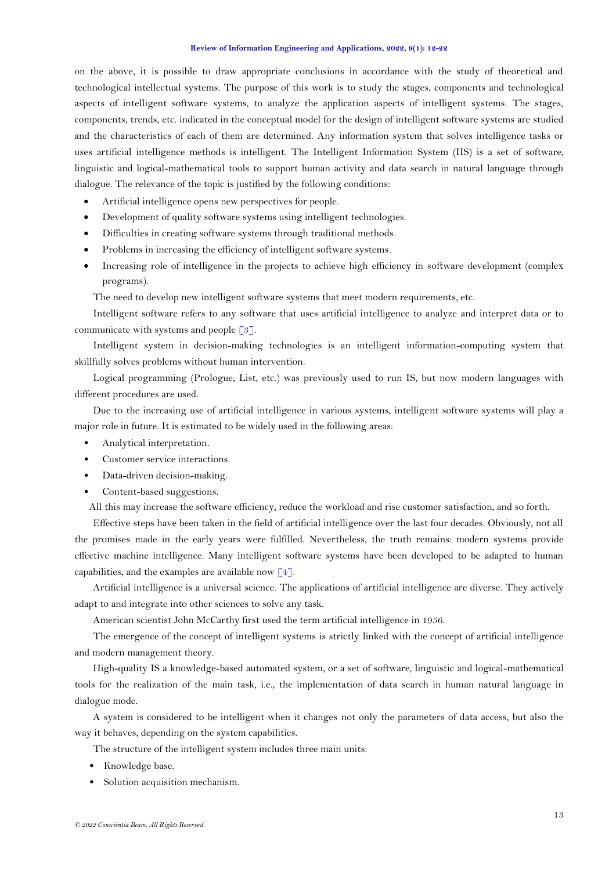on the above, it is possible to draw appropriate conclusions in accordance with the study of theoretical and technological intellectual systems. The purpose of this work is to study the stages, components and technological aspects of intelligent software systems, to analyze the application aspects of intelligent systems. The stages, components, trends, etc. indicated in the conceptual model for the design of intelligent software systems are studied and the characteristics of each of them are determined. Any information system that solves intelligence tasks or uses artificial intelligence methods is intelligent. The Intelligent Information System (IIS) is a set of software, linguistic and logical-mathematical tools to support human activity and data search in natural language through dialogue. The relevance of the topic is justified by the following conditions:

- Artificial intelligence opens new perspectives for people.
- Development of quality software systems using intelligent technologies.
- Difficulties in creating software systems through traditional methods.
- Problems in increasing the efficiency of intelligent software systems.
- Increasing role of intelligence in the projects to achieve high efficiency in software development (complex programs).

The need to develop new intelligent software systems that meet modern requirements, etc.

Intelligent software refers to any software that uses artificial intelligence to analyze and interpret data or to communicate with systems and people [\[3\]](#page-10-2).

Intelligent system in decision-making technologies is an intelligent information-computing system that skillfully solves problems without human intervention.

Logical programming (Prologue, List, etc.) was previously used to run IS, but now modern languages with different procedures are used.

Due to the increasing use of artificial intelligence in various systems, intelligent software systems will play a major role in future. It is estimated to be widely used in the following areas:

- Analytical interpretation.
- Customer service interactions.
- Data-driven decision-making.
- Content-based suggestions.

All this may increase the software efficiency, reduce the workload and rise customer satisfaction, and so forth.

Effective steps have been taken in the field of artificial intelligence over the last four decades. Obviously, not all the promises made in the early years were fulfilled. Nevertheless, the truth remains: modern systems provide effective machine intelligence. Many intelligent software systems have been developed to be adapted to human capabilities, and the examples are available now  $\lceil 4 \rceil$ .

Artificial intelligence is a universal science. The applications of artificial intelligence are diverse. They actively adapt to and integrate into other sciences to solve any task.

American scientist John McCarthy first used the term artificial intelligence in 1956.

The emergence of the concept of intelligent systems is strictly linked with the concept of artificial intelligence and modern management theory.

High-quality IS a knowledge-based automated system, or a set of software, linguistic and logical-mathematical tools for the realization of the main task, i.e., the implementation of data search in human natural language in dialogue mode.

A system is considered to be intelligent when it changes not only the parameters of data access, but also the way it behaves, depending on the system capabilities.

The structure of the intelligent system includes three main units:

- Knowledge base.
- Solution acquisition mechanism.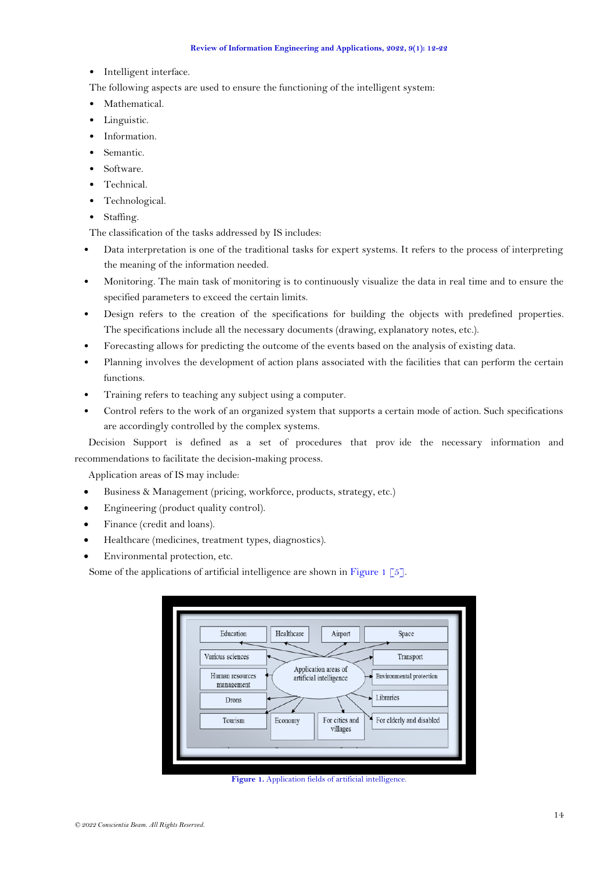- Intelligent interface.
- The following aspects are used to ensure the functioning of the intelligent system:
- Mathematical.
- Linguistic.
- Information.
- Semantic.
- Software.
- Technical.
- Technological.
- Staffing.

The classification of the tasks addressed by IS includes:

- Data interpretation is one of the traditional tasks for expert systems. It refers to the process of interpreting the meaning of the information needed.
- Monitoring. The main task of monitoring is to continuously visualize the data in real time and to ensure the specified parameters to exceed the certain limits.
- Design refers to the creation of the specifications for building the objects with predefined properties. The specifications include all the necessary documents (drawing, explanatory notes, etc.).
- Forecasting allows for predicting the outcome of the events based on the analysis of existing data.
- Planning involves the development of action plans associated with the facilities that can perform the certain functions.
- Training refers to teaching any subject using a computer.
- Control refers to the work of an organized system that supports a certain mode of action. Such specifications are accordingly controlled by the complex systems.

Decision Support is defined as a set of procedures that prov ide the necessary information and recommendations to facilitate the decision-making process.

Application areas of IS may include:

- Business & Management (pricing, workforce, products, strategy, etc.)
- Engineering (product quality control).
- Finance (credit and loans).
- Healthcare (medicines, treatment types, diagnostics).
- Environmental protection, etc.

Some of the applications of artificial intelligence are shown in [Figure 1](#page-2-0)  $\lceil 5 \rceil$ .

| Education                     | Healthcare                                      | Airport                    | Space                    |
|-------------------------------|-------------------------------------------------|----------------------------|--------------------------|
| Various sciences              |                                                 |                            | Transport                |
| Human resources<br>management | Application areas of<br>artificial intelligence |                            | Environmental protection |
| Drons                         |                                                 |                            | Libraries                |
| Tourism                       | Economy                                         | For cities and<br>villages | For elderly and disabled |

<span id="page-2-0"></span>**Figure 1.** Application fields of artificial intelligence.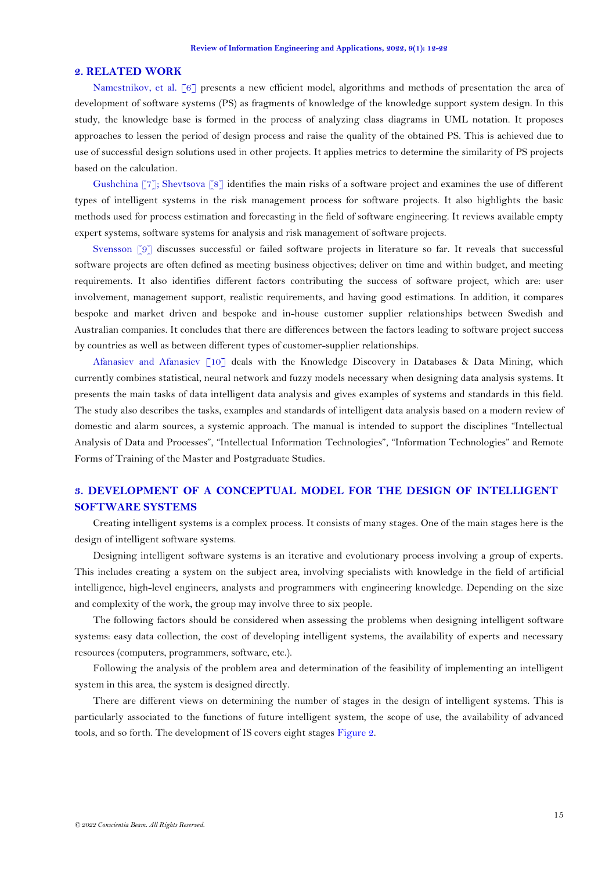## **2. RELATED WORK**

[Namestnikov, et al. \[6\]](#page-10-5) presents a new efficient model, algorithms and methods of presentation the area of development of software systems (PS) as fragments of knowledge of the knowledge support system design. In this study, the knowledge base is formed in the process of analyzing class diagrams in UML notation. It proposes approaches to lessen the period of design process and raise the quality of the obtained PS. This is achieved due to use of successful design solutions used in other projects. It applies metrics to determine the similarity of PS projects based on the calculation.

[Gushchina \[7\]](#page-10-6); [Shevtsova \[8\]](#page-10-7) identifies the main risks of a software project and examines the use of different types of intelligent systems in the risk management process for software projects. It also highlights the basic methods used for process estimation and forecasting in the field of software engineering. It reviews available empty expert systems, software systems for analysis and risk management of software projects.

[Svensson \[9\]](#page-10-8) discusses successful or failed software projects in literature so far. It reveals that successful software projects are often defined as meeting business objectives; deliver on time and within budget, and meeting requirements. It also identifies different factors contributing the success of software project, which are: user involvement, management support, realistic requirements, and having good estimations. In addition, it compares bespoke and market driven and bespoke and in-house customer supplier relationships between Swedish and Australian companies. It concludes that there are differences between the factors leading to software project success by countries as well as between different types of customer-supplier relationships.

[Afanasiev and Afanasiev \[10\]](#page-10-9) deals with the Knowledge Discovery in Databases & Data Mining, which currently combines statistical, neural network and fuzzy models necessary when designing data analysis systems. It presents the main tasks of data intelligent data analysis and gives examples of systems and standards in this field. The study also describes the tasks, examples and standards of intelligent data analysis based on a modern review of domestic and alarm sources, a systemic approach. The manual is intended to support the disciplines "Intellectual Analysis of Data and Processes", "Intellectual Information Technologies", "Information Technologies" and Remote Forms of Training of the Master and Postgraduate Studies.

# **3. DEVELOPMENT OF A CONCEPTUAL MODEL FOR THE DESIGN OF INTELLIGENT SOFTWARE SYSTEMS**

Creating intelligent systems is a complex process. It consists of many stages. One of the main stages here is the design of intelligent software systems.

Designing intelligent software systems is an iterative and evolutionary process involving a group of experts. This includes creating a system on the subject area, involving specialists with knowledge in the field of artificial intelligence, high-level engineers, analysts and programmers with engineering knowledge. Depending on the size and complexity of the work, the group may involve three to six people.

The following factors should be considered when assessing the problems when designing intelligent software systems: easy data collection, the cost of developing intelligent systems, the availability of experts and necessary resources (computers, programmers, software, etc.).

Following the analysis of the problem area and determination of the feasibility of implementing an intelligent system in this area, the system is designed directly.

There are different views on determining the number of stages in the design of intelligent systems. This is particularly associated to the functions of future intelligent system, the scope of use, the availability of advanced tools, and so forth. The development of IS covers eight stages [Figure 2.](#page-4-0)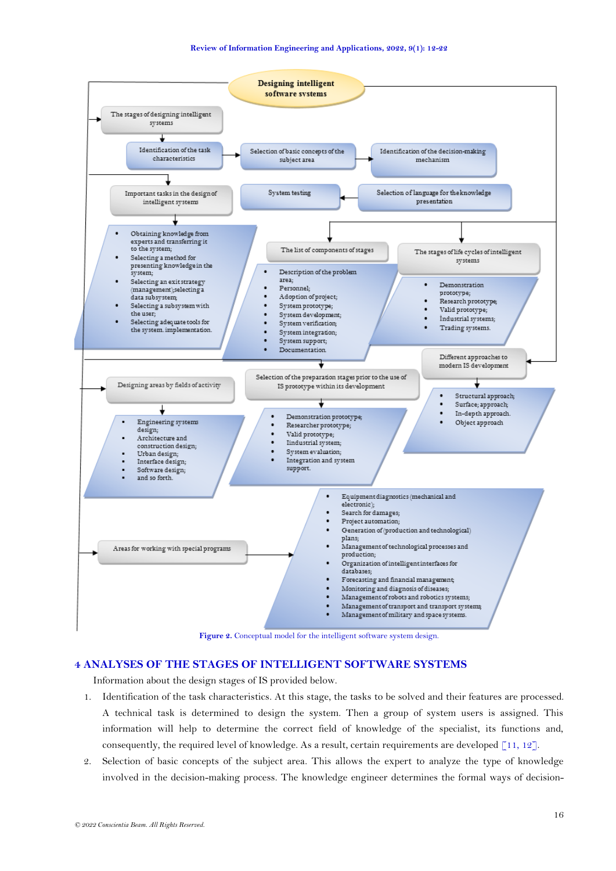

# <span id="page-4-0"></span>**4 ANALYSES OF THE STAGES OF INTELLIGENT SOFTWARE SYSTEMS**

Information about the design stages of IS provided below.

- 1. Identification of the task characteristics. At this stage, the tasks to be solved and their features are processed. A technical task is determined to design the system. Then a group of system users is assigned. This information will help to determine the correct field of knowledge of the specialist, its functions and, consequently, the required level of knowledge. As a result, certain requirements are developed  $\lceil 11, 12 \rceil$ .
- 2. Selection of basic concepts of the subject area. This allows the expert to analyze the type of knowledge involved in the decision-making process. The knowledge engineer determines the formal ways of decision-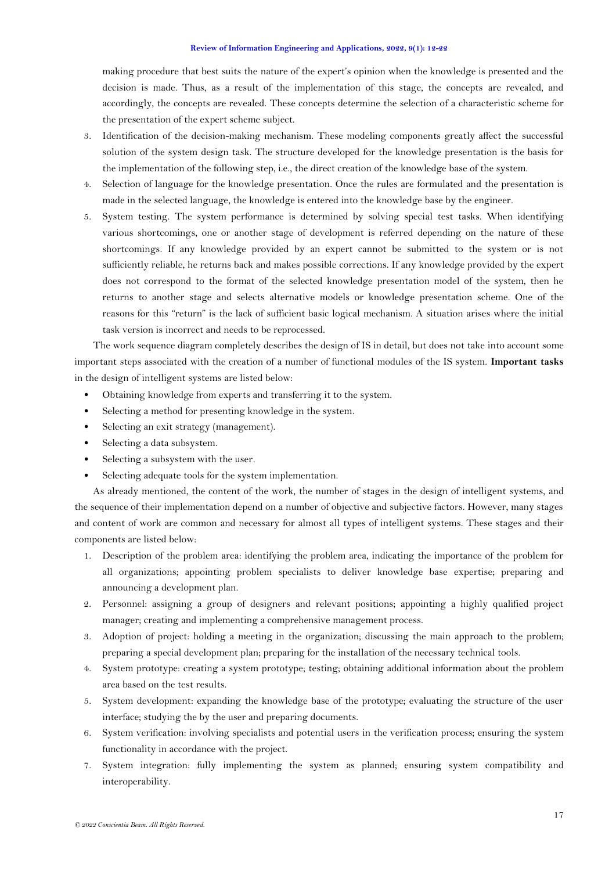making procedure that best suits the nature of the expert's opinion when the knowledge is presented and the decision is made. Thus, as a result of the implementation of this stage, the concepts are revealed, and accordingly, the concepts are revealed. These concepts determine the selection of a characteristic scheme for the presentation of the expert scheme subject.

- 3. Identification of the decision-making mechanism. These modeling components greatly affect the successful solution of the system design task. The structure developed for the knowledge presentation is the basis for the implementation of the following step, i.e., the direct creation of the knowledge base of the system.
- 4. Selection of language for the knowledge presentation. Once the rules are formulated and the presentation is made in the selected language, the knowledge is entered into the knowledge base by the engineer.
- 5. System testing. The system performance is determined by solving special test tasks. When identifying various shortcomings, one or another stage of development is referred depending on the nature of these shortcomings. If any knowledge provided by an expert cannot be submitted to the system or is not sufficiently reliable, he returns back and makes possible corrections. If any knowledge provided by the expert does not correspond to the format of the selected knowledge presentation model of the system, then he returns to another stage and selects alternative models or knowledge presentation scheme. One of the reasons for this "return" is the lack of sufficient basic logical mechanism. A situation arises where the initial task version is incorrect and needs to be reprocessed.

The work sequence diagram completely describes the design of IS in detail, but does not take into account some important steps associated with the creation of a number of functional modules of the IS system. **Important tasks** in the design of intelligent systems are listed below:

- Obtaining knowledge from experts and transferring it to the system.
- Selecting a method for presenting knowledge in the system.
- Selecting an exit strategy (management).
- Selecting a data subsystem.
- Selecting a subsystem with the user.
- Selecting adequate tools for the system implementation.

As already mentioned, the content of the work, the number of stages in the design of intelligent systems, and the sequence of their implementation depend on a number of objective and subjective factors. However, many stages and content of work are common and necessary for almost all types of intelligent systems. These stages and their components are listed below:

- 1. Description of the problem area: identifying the problem area, indicating the importance of the problem for all organizations; appointing problem specialists to deliver knowledge base expertise; preparing and announcing a development plan.
- 2. Personnel: assigning a group of designers and relevant positions; appointing a highly qualified project manager; creating and implementing a comprehensive management process.
- 3. Adoption of project: holding a meeting in the organization; discussing the main approach to the problem; preparing a special development plan; preparing for the installation of the necessary technical tools.
- 4. System prototype: creating a system prototype; testing; obtaining additional information about the problem area based on the test results.
- 5. System development: expanding the knowledge base of the prototype; evaluating the structure of the user interface; studying the by the user and preparing documents.
- 6. System verification: involving specialists and potential users in the verification process; ensuring the system functionality in accordance with the project.
- 7. System integration: fully implementing the system as planned; ensuring system compatibility and interoperability.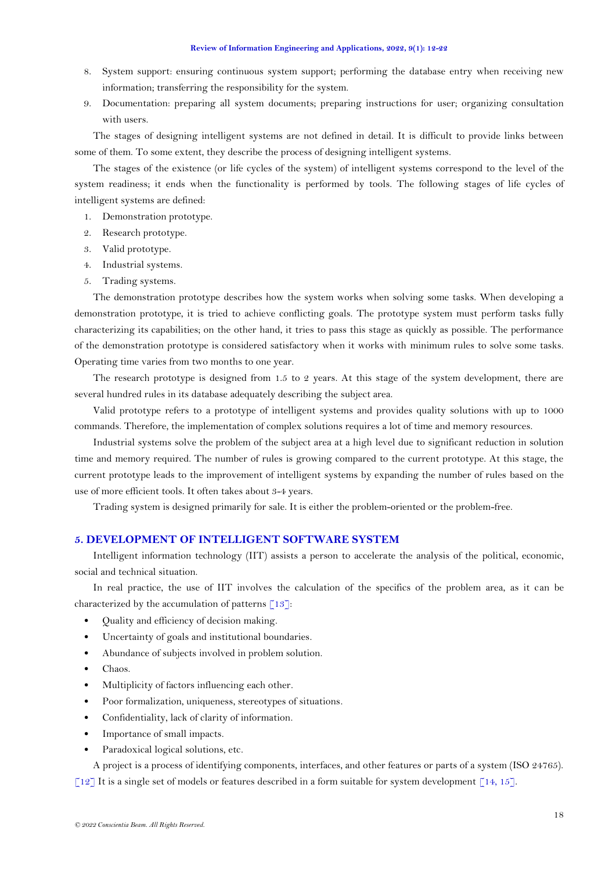- 8. System support: ensuring continuous system support; performing the database entry when receiving new information; transferring the responsibility for the system.
- 9. Documentation: preparing all system documents; preparing instructions for user; organizing consultation with users.

The stages of designing intelligent systems are not defined in detail. It is difficult to provide links between some of them. To some extent, they describe the process of designing intelligent systems.

The stages of the existence (or life cycles of the system) of intelligent systems correspond to the level of the system readiness; it ends when the functionality is performed by tools. The following stages of life cycles of intelligent systems are defined:

- 1. Demonstration prototype.
- 2. Research prototype.
- 3. Valid prototype.
- 4. Industrial systems.
- 5. Trading systems.

The demonstration prototype describes how the system works when solving some tasks. When developing a demonstration prototype, it is tried to achieve conflicting goals. The prototype system must perform tasks fully characterizing its capabilities; on the other hand, it tries to pass this stage as quickly as possible. The performance of the demonstration prototype is considered satisfactory when it works with minimum rules to solve some tasks. Operating time varies from two months to one year.

The research prototype is designed from 1.5 to 2 years. At this stage of the system development, there are several hundred rules in its database adequately describing the subject area.

Valid prototype refers to a prototype of intelligent systems and provides quality solutions with up to 1000 commands. Therefore, the implementation of complex solutions requires a lot of time and memory resources.

Industrial systems solve the problem of the subject area at a high level due to significant reduction in solution time and memory required. The number of rules is growing compared to the current prototype. At this stage, the current prototype leads to the improvement of intelligent systems by expanding the number of rules based on the use of more efficient tools. It often takes about 3-4 years.

Trading system is designed primarily for sale. It is either the problem-oriented or the problem-free.

## **5. DEVELOPMENT OF INTELLIGENT SOFTWARE SYSTEM**

Intelligent information technology (IIT) assists a person to accelerate the analysis of the political, economic, social and technical situation.

In real practice, the use of IIT involves the calculation of the specifics of the problem area, as it can be characterized by the accumulation of patterns  $\lceil 13 \rceil$ :

- Quality and efficiency of decision making.
- Uncertainty of goals and institutional boundaries.
- Abundance of subjects involved in problem solution.
- Chaos.
- Multiplicity of factors influencing each other.
- Poor formalization, uniqueness, stereotypes of situations.
- Confidentiality, lack of clarity of information.
- Importance of small impacts.
- Paradoxical logical solutions, etc.

A project is a process of identifying components, interfaces, and other features or parts of a system (ISO 24765). [\[12\]](#page-10-11) It is a single set of models or features described in a form suitable for system development [\[14,](#page-10-13) [15\]](#page-10-14).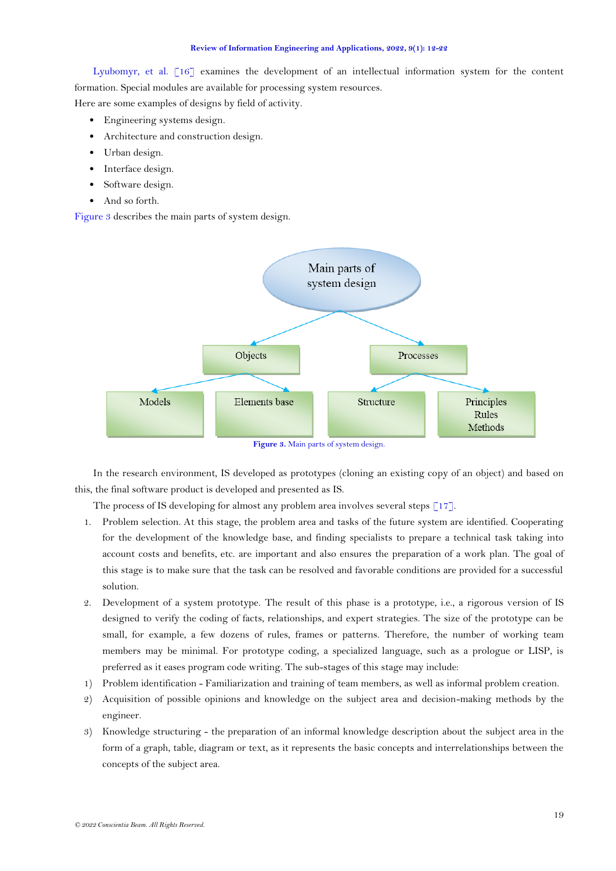[Lyubomyr, et al. \[16\]](#page-10-15) examines the development of an intellectual information system for the content formation. Special modules are available for processing system resources.

Here are some examples of designs by field of activity.

- Engineering systems design.
- Architecture and construction design.
- Urban design.
- Interface design.
- Software design.
- And so forth.

[Figure 3](#page-7-0) describes the main parts of system design.



<span id="page-7-0"></span>In the research environment, IS developed as prototypes (cloning an existing copy of an object) and based on this, the final software product is developed and presented as IS.

The process of IS developing for almost any problem area involves several steps  $\lceil 17 \rceil$ .

- 1. Problem selection. At this stage, the problem area and tasks of the future system are identified. Cooperating for the development of the knowledge base, and finding specialists to prepare a technical task taking into account costs and benefits, etc. are important and also ensures the preparation of a work plan. The goal of this stage is to make sure that the task can be resolved and favorable conditions are provided for a successful solution.
- 2. Development of a system prototype. The result of this phase is a prototype, i.e., a rigorous version of IS designed to verify the coding of facts, relationships, and expert strategies. The size of the prototype can be small, for example, a few dozens of rules, frames or patterns. Therefore, the number of working team members may be minimal. For prototype coding, a specialized language, such as a prologue or LISP, is preferred as it eases program code writing. The sub-stages of this stage may include:
- 1) Problem identification Familiarization and training of team members, as well as informal problem creation.
- 2) Acquisition of possible opinions and knowledge on the subject area and decision-making methods by the engineer.
- 3) Knowledge structuring the preparation of an informal knowledge description about the subject area in the form of a graph, table, diagram or text, as it represents the basic concepts and interrelationships between the concepts of the subject area.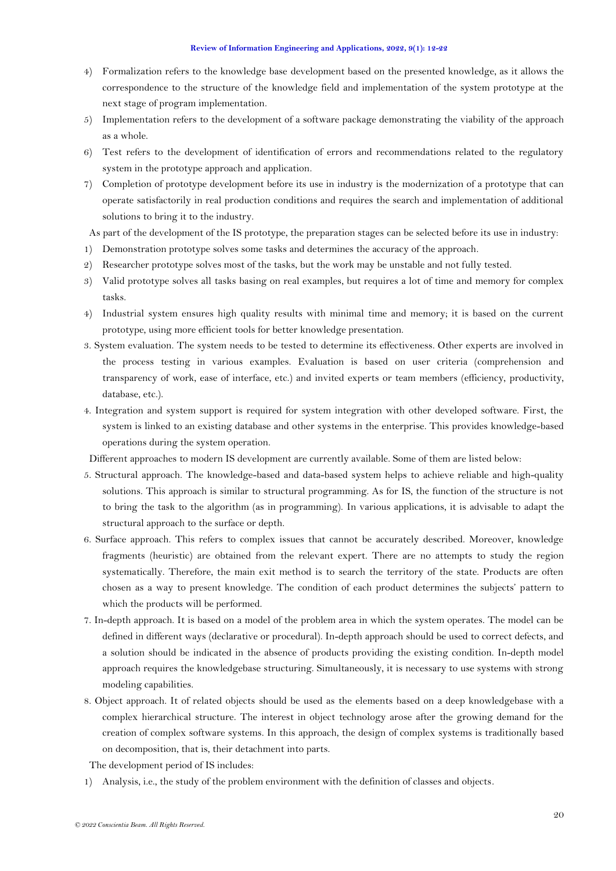- 4) Formalization refers to the knowledge base development based on the presented knowledge, as it allows the correspondence to the structure of the knowledge field and implementation of the system prototype at the next stage of program implementation.
- 5) Implementation refers to the development of a software package demonstrating the viability of the approach as a whole.
- 6) Test refers to the development of identification of errors and recommendations related to the regulatory system in the prototype approach and application.
- 7) Completion of prototype development before its use in industry is the modernization of a prototype that can operate satisfactorily in real production conditions and requires the search and implementation of additional solutions to bring it to the industry.

As part of the development of the IS prototype, the preparation stages can be selected before its use in industry:

- 1) Demonstration prototype solves some tasks and determines the accuracy of the approach.
- 2) Researcher prototype solves most of the tasks, but the work may be unstable and not fully tested.
- 3) Valid prototype solves all tasks basing on real examples, but requires a lot of time and memory for complex tasks.
- 4) Industrial system ensures high quality results with minimal time and memory; it is based on the current prototype, using more efficient tools for better knowledge presentation.
- 3. System evaluation. The system needs to be tested to determine its effectiveness. Other experts are involved in the process testing in various examples. Evaluation is based on user criteria (comprehension and transparency of work, ease of interface, etc.) and invited experts or team members (efficiency, productivity, database, etc.).
- 4. Integration and system support is required for system integration with other developed software. First, the system is linked to an existing database and other systems in the enterprise. This provides knowledge-based operations during the system operation.

Different approaches to modern IS development are currently available. Some of them are listed below:

- 5. Structural approach. The knowledge-based and data-based system helps to achieve reliable and high-quality solutions. This approach is similar to structural programming. As for IS, the function of the structure is not to bring the task to the algorithm (as in programming). In various applications, it is advisable to adapt the structural approach to the surface or depth.
- 6. Surface approach. This refers to complex issues that cannot be accurately described. Moreover, knowledge fragments (heuristic) are obtained from the relevant expert. There are no attempts to study the region systematically. Therefore, the main exit method is to search the territory of the state. Products are often chosen as a way to present knowledge. The condition of each product determines the subjects' pattern to which the products will be performed.
- 7. In-depth approach. It is based on a model of the problem area in which the system operates. The model can be defined in different ways (declarative or procedural). In-depth approach should be used to correct defects, and a solution should be indicated in the absence of products providing the existing condition. In-depth model approach requires the knowledgebase structuring. Simultaneously, it is necessary to use systems with strong modeling capabilities.
- 8. Object approach. It of related objects should be used as the elements based on a deep knowledgebase with a complex hierarchical structure. The interest in object technology arose after the growing demand for the creation of complex software systems. In this approach, the design of complex systems is traditionally based on decomposition, that is, their detachment into parts.

The development period of IS includes:

1) Analysis, i.e., the study of the problem environment with the definition of classes and objects.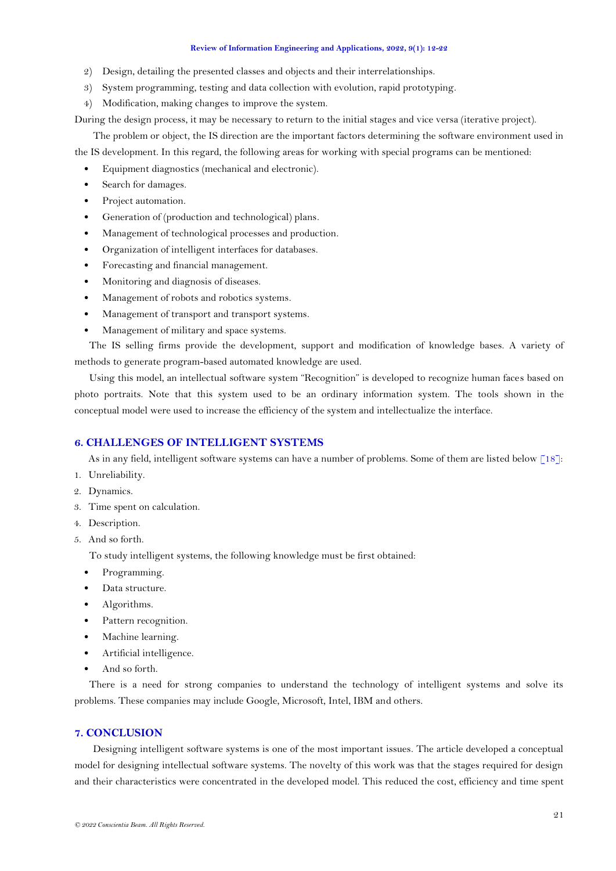- 2) Design, detailing the presented classes and objects and their interrelationships.
- 3) System programming, testing and data collection with evolution, rapid prototyping.
- 4) Modification, making changes to improve the system.

During the design process, it may be necessary to return to the initial stages and vice versa (iterative project).

The problem or object, the IS direction are the important factors determining the software environment used in the IS development. In this regard, the following areas for working with special programs can be mentioned:

- Equipment diagnostics (mechanical and electronic).
- Search for damages.
- Project automation.
- Generation of (production and technological) plans.
- Management of technological processes and production.
- Organization of intelligent interfaces for databases.
- Forecasting and financial management.
- Monitoring and diagnosis of diseases.
- Management of robots and robotics systems.
- Management of transport and transport systems.
- Management of military and space systems.

The IS selling firms provide the development, support and modification of knowledge bases. A variety of methods to generate program-based automated knowledge are used.

Using this model, an intellectual software system "Recognition" is developed to recognize human faces based on photo portraits. Note that this system used to be an ordinary information system. The tools shown in the conceptual model were used to increase the efficiency of the system and intellectualize the interface.

## **6. CHALLENGES OF INTELLIGENT SYSTEMS**

As in any field, intelligent software systems can have a number of problems. Some of them are listed below [\[18\]](#page-10-17):

- 1. Unreliability.
- 2. Dynamics.
- 3. Time spent on calculation.
- 4. Description.
- 5. And so forth.

To study intelligent systems, the following knowledge must be first obtained:

- Programming.
- Data structure.
- Algorithms.
- Pattern recognition.
- Machine learning.
- Artificial intelligence.
- And so forth.

There is a need for strong companies to understand the technology of intelligent systems and solve its problems. These companies may include Google, Microsoft, Intel, IBM and others.

# **7. CONCLUSION**

Designing intelligent software systems is one of the most important issues. The article developed a conceptual model for designing intellectual software systems. The novelty of this work was that the stages required for design and their characteristics were concentrated in the developed model. This reduced the cost, efficiency and time spent